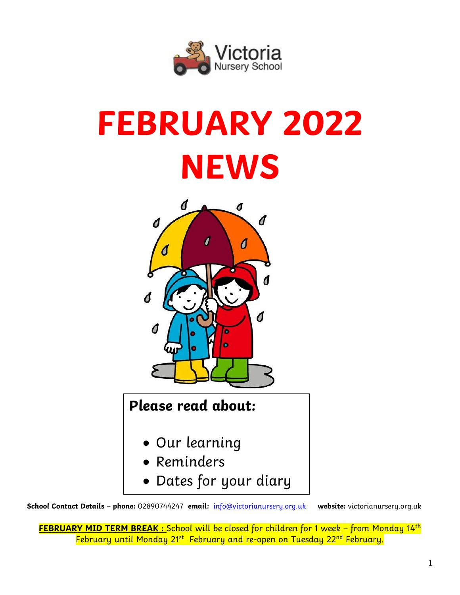

# **FEBRUARY 2022 NEWS**



## **Please read about:**

- Our learning
- Reminders
- Dates for your diary

**School Contact Details** – **phone:** 02890744247 **email:** [info@victorianursery.org.uk](mailto:info@victorianursery.org.uk) **website:** victorianursery.org.uk

**FEBRUARY MID TERM BREAK :** School will be closed for children for 1 week – from Monday 14th February until Monday 21<sup>st</sup> February and re-open on Tuesday 22<sup>nd</sup> February.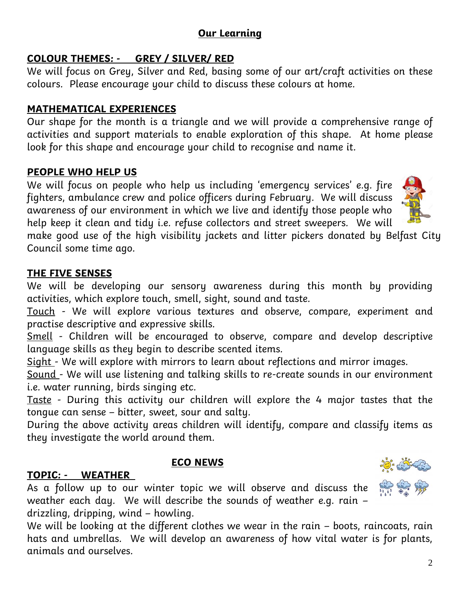### **Our Learning**

## **COLOUR THEMES: - GREY / SILVER/ RED**

We will focus on Grey, Silver and Red, basing some of our art/craft activities on these colours. Please encourage your child to discuss these colours at home.

## **MATHEMATICAL EXPERIENCES**

Our shape for the month is a triangle and we will provide a comprehensive range of activities and support materials to enable exploration of this shape. At home please look for this shape and encourage your child to recognise and name it.

## **PEOPLE WHO HELP US**

We will focus on people who help us including 'emergency services' e.g. fire fighters, ambulance crew and police officers during February. We will discuss awareness of our environment in which we live and identify those people who help keep it clean and tidy i.e. refuse collectors and street sweepers. We will

make good use of the high visibility jackets and litter pickers donated by Belfast City Council some time ago.

## **THE FIVE SENSES**

We will be developing our sensory awareness during this month by providing activities, which explore touch, smell, sight, sound and taste.

Touch - We will explore various textures and observe, compare, experiment and practise descriptive and expressive skills.

Smell - Children will be encouraged to observe, compare and develop descriptive language skills as they begin to describe scented items.

Sight - We will explore with mirrors to learn about reflections and mirror images.

Sound - We will use listening and talking skills to re-create sounds in our environment i.e. water running, birds singing etc.

Taste - During this activity our children will explore the 4 major tastes that the tongue can sense – bitter, sweet, sour and salty.

During the above activity areas children will identify, compare and classify items as they investigate the world around them.

## **TOPIC: - WEATHER**

As a follow up to our winter topic we will observe and discuss the weather each day. We will describe the sounds of weather e.g. rain – drizzling, dripping, wind – howling.

**ECO NEWS**

We will be looking at the different clothes we wear in the rain – boots, raincoats, rain hats and umbrellas. We will develop an awareness of how vital water is for plants, animals and ourselves.





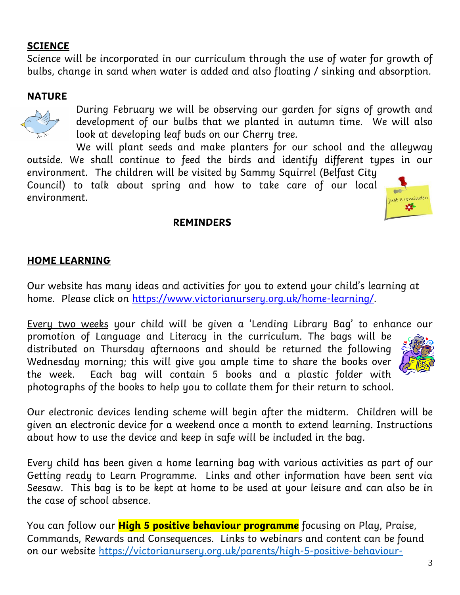#### **SCIENCE**

Science will be incorporated in our curriculum through the use of water for growth of bulbs, change in sand when water is added and also floating / sinking and absorption.

#### **NATURE**



During February we will be observing our garden for signs of growth and development of our bulbs that we planted in autumn time. We will also look at developing leaf buds on our Cherry tree.

We will plant seeds and make planters for our school and the alleyway outside. We shall continue to feed the birds and identify different types in our environment. The children will be visited by Sammy Squirrel (Belfast City

Council) to talk about spring and how to take care of our local environment.



#### **REMINDERS**

#### **HOME LEARNING**

Our website has many ideas and activities for you to extend your child's learning at home. Please click on [https://www.victorianursery.org.uk/home-learning/.](https://www.victorianursery.org.uk/home-learning/)

Every two weeks your child will be given a 'Lending Library Bag' to enhance our promotion of Language and Literacy in the curriculum. The bags will be distributed on Thursday afternoons and should be returned the following Wednesday morning; this will give you ample time to share the books over the week. Each bag will contain 5 books and a plastic folder with photographs of the books to help you to collate them for their return to school.



Our electronic devices lending scheme will begin after the midterm. Children will be given an electronic device for a weekend once a month to extend learning. Instructions about how to use the device and keep in safe will be included in the bag.

Every child has been given a home learning bag with various activities as part of our Getting ready to Learn Programme. Links and other information have been sent via Seesaw. This bag is to be kept at home to be used at your leisure and can also be in the case of school absence.

You can follow our **High 5 positive behaviour programme** focusing on Play, Praise, Commands, Rewards and Consequences. Links to webinars and content can be found on our website [https://victorianursery.org.uk/parents/high-5-positive-behaviour-](https://victorianursery.org.uk/parents/high-5-positive-behaviour-programme/)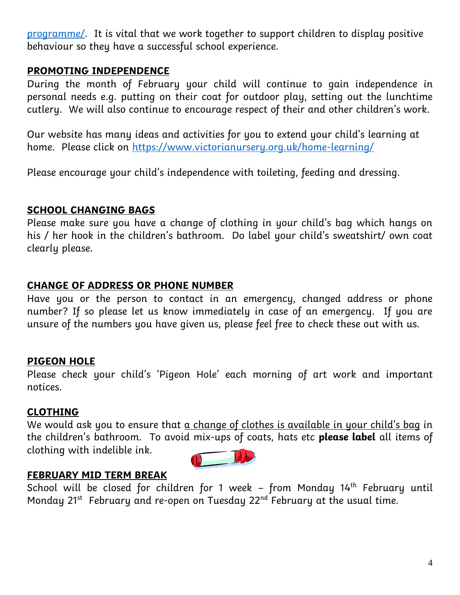[programme/.](https://victorianursery.org.uk/parents/high-5-positive-behaviour-programme/) It is vital that we work together to support children to display positive behaviour so they have a successful school experience.

#### **PROMOTING INDEPENDENCE**

During the month of February your child will continue to gain independence in personal needs e.g. putting on their coat for outdoor play, setting out the lunchtime cutlery. We will also continue to encourage respect of their and other children's work.

Our website has many ideas and activities for you to extend your child's learning at home. Please click on<https://www.victorianursery.org.uk/home-learning/>

Please encourage your child's independence with toileting, feeding and dressing.

#### **SCHOOL CHANGING BAGS**

Please make sure you have a change of clothing in your child's bag which hangs on his / her hook in the children's bathroom. Do label your child's sweatshirt/ own coat clearly please.

#### **CHANGE OF ADDRESS OR PHONE NUMBER**

Have you or the person to contact in an emergency, changed address or phone number? If so please let us know immediately in case of an emergency. If you are unsure of the numbers you have given us, please feel free to check these out with us.

#### **PIGEON HOLE**

Please check your child's 'Pigeon Hole' each morning of art work and important notices.

#### **CLOTHING**

We would ask you to ensure that  $a$  change of clothes is available in your child's bag in the children's bathroom. To avoid mix-ups of coats, hats etc **please label** all items of clothing with indelible ink.



#### **FEBRUARY MID TERM BREAK**

School will be closed for children for 1 week – from Monday 14<sup>th</sup> February until Monday 21<sup>st</sup> February and re-open on Tuesday 22<sup>nd</sup> February at the usual time.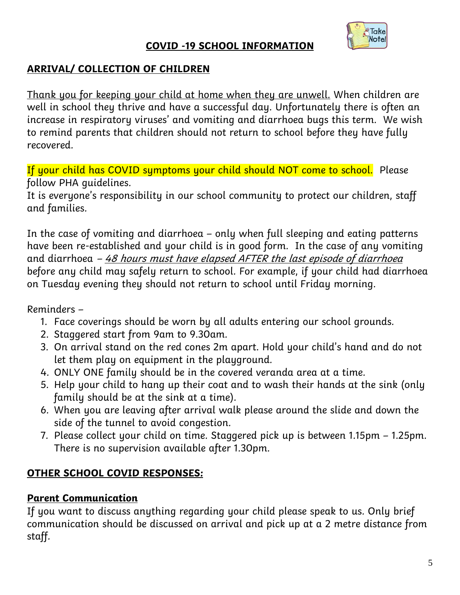#### **COVID -19 SCHOOL INFORMATION**



#### **ARRIVAL/ COLLECTION OF CHILDREN**

Thank you for keeping your child at home when they are unwell. When children are well in school they thrive and have a successful day. Unfortunately there is often an increase in respiratory viruses' and vomiting and diarrhoea bugs this term. We wish to remind parents that children should not return to school before they have fully recovered.

If your child has COVID symptoms your child should NOT come to school. Please follow PHA guidelines.

It is everyone's responsibility in our school community to protect our children, staff and families.

In the case of vomiting and diarrhoea – only when full sleeping and eating patterns have been re-established and your child is in good form. In the case of any vomiting and diarrhoea  $-48$  hours must have elapsed AFTER the last episode of diarrhoea before any child may safely return to school. For example, if your child had diarrhoea on Tuesday evening they should not return to school until Friday morning.

Reminders –

- 1. Face coverings should be worn by all adults entering our school grounds.
- 2. Staggered start from 9am to 9.30am.
- 3. On arrival stand on the red cones 2m apart. Hold your child's hand and do not let them play on equipment in the playground.
- 4. ONLY ONE family should be in the covered veranda area at a time.
- 5. Help your child to hang up their coat and to wash their hands at the sink (only family should be at the sink at a time).
- 6. When you are leaving after arrival walk please around the slide and down the side of the tunnel to avoid congestion.
- 7. Please collect your child on time. Staggered pick up is between 1.15pm 1.25pm. There is no supervision available after 1.30pm.

#### **OTHER SCHOOL COVID RESPONSES:**

#### **Parent Communication**

If you want to discuss anything regarding your child please speak to us. Only brief communication should be discussed on arrival and pick up at a 2 metre distance from staff.